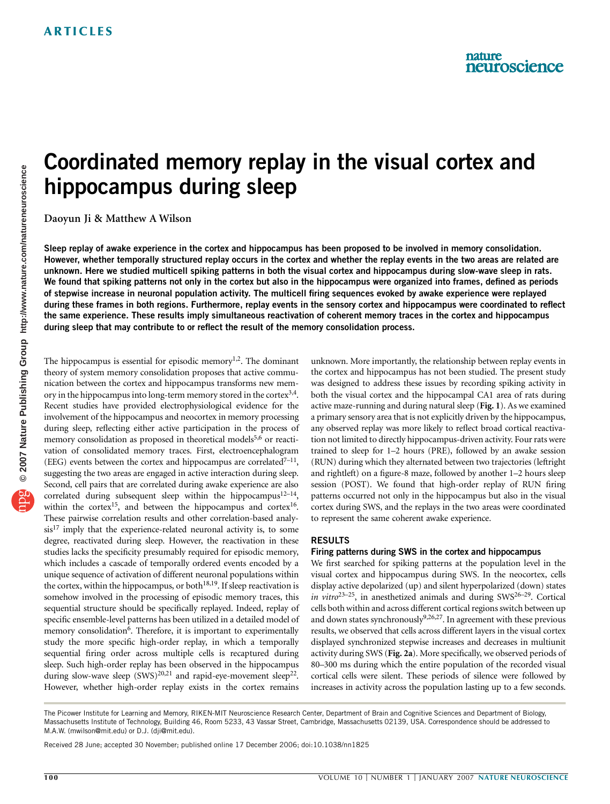# Coordinated memory replay in the visual cortex and hippocampus during sleep

Daoyun Ji & Matthew A Wilson

Sleep replay of awake experience in the cortex and hippocampus has been proposed to be involved in memory consolidation. However, whether temporally structured replay occurs in the cortex and whether the replay events in the two areas are related are unknown. Here we studied multicell spiking patterns in both the visual cortex and hippocampus during slow-wave sleep in rats. We found that spiking patterns not only in the cortex but also in the hippocampus were organized into frames, defined as periods of stepwise increase in neuronal population activity. The multicell firing sequences evoked by awake experience were replayed during these frames in both regions. Furthermore, replay events in the sensory cortex and hippocampus were coordinated to reflect the same experience. These results imply simultaneous reactivation of coherent memory traces in the cortex and hippocampus during sleep that may contribute to or reflect the result of the memory consolidation process.

The hippocampus is essential for episodic memory<sup>1,2</sup>. The dominant theory of system memory consolidation proposes that active communication between the cortex and hippocampus transforms new memory in the hippocampus into long-term memory stored in the cortex $3,4$ . Recent studies have provided electrophysiological evidence for the involvement of the hippocampus and neocortex in memory processing during sleep, reflecting either active participation in the process of memory consolidation as proposed in theoretical models<sup>5,6</sup> or reactivation of consolidated memory traces. First, electroencephalogram (EEG) events between the cortex and hippocampus are correlated<sup>7-11</sup>, suggesting the two areas are engaged in active interaction during sleep. Second, cell pairs that are correlated during awake experience are also correlated during subsequent sleep within the hippocampus<sup>12-14</sup>, within the cortex<sup>15</sup>, and between the hippocampus and cortex<sup>16</sup>. These pairwise correlation results and other correlation-based analysis<sup>17</sup> imply that the experience-related neuronal activity is, to some degree, reactivated during sleep. However, the reactivation in these studies lacks the specificity presumably required for episodic memory, which includes a cascade of temporally ordered events encoded by a unique sequence of activation of different neuronal populations within the cortex, within the hippocampus, or both $18,19$ . If sleep reactivation is somehow involved in the processing of episodic memory traces, this sequential structure should be specifically replayed. Indeed, replay of specific ensemble-level patterns has been utilized in a detailed model of memory consolidation<sup>6</sup>. Therefore, it is important to experimentally study the more specific high-order replay, in which a temporally sequential firing order across multiple cells is recaptured during sleep. Such high-order replay has been observed in the hippocampus during slow-wave sleep  $(SWS)^{20,21}$  and rapid-eye-movement sleep<sup>22</sup>. However, whether high-order replay exists in the cortex remains

unknown. More importantly, the relationship between replay events in the cortex and hippocampus has not been studied. The present study was designed to address these issues by recording spiking activity in both the visual cortex and the hippocampal CA1 area of rats during active maze-running and during natural sleep (Fig. 1). As we examined a primary sensory area that is not explicitly driven by the hippocampus, any observed replay was more likely to reflect broad cortical reactivation not limited to directly hippocampus-driven activity. Four rats were trained to sleep for 1–2 hours (PRE), followed by an awake session (RUN) during which they alternated between two trajectories (leftright and rightleft) on a figure-8 maze, followed by another 1–2 hours sleep session (POST). We found that high-order replay of RUN firing patterns occurred not only in the hippocampus but also in the visual cortex during SWS, and the replays in the two areas were coordinated to represent the same coherent awake experience.

#### RESULTS

#### Firing patterns during SWS in the cortex and hippocampus

We first searched for spiking patterns at the population level in the visual cortex and hippocampus during SWS. In the neocortex, cells display active depolarized (up) and silent hyperpolarized (down) states in vitro<sup>23-25</sup>, in anesthetized animals and during SWS<sup>26-29</sup>. Cortical cells both within and across different cortical regions switch between up and down states synchronously $9,26,27$ . In agreement with these previous results, we observed that cells across different layers in the visual cortex displayed synchronized stepwise increases and decreases in multiunit activity during SWS (Fig. 2a). More specifically, we observed periods of 80–300 ms during which the entire population of the recorded visual cortical cells were silent. These periods of silence were followed by increases in activity across the population lasting up to a few seconds.

Received 28 June; accepted 30 November; published online 17 December 2006; doi:10.1038/nn1825

The Picower Institute for Learning and Memory, RIKEN-MIT Neuroscience Research Center, Department of Brain and Cognitive Sciences and Department of Biology, Massachusetts Institute of Technology, Building 46, Room 5233, 43 Vassar Street, Cambridge, Massachusetts 02139, USA. Correspondence should be addressed to M.A.W. (mwilson@mit.edu) or D.J. (dji@mit.edu).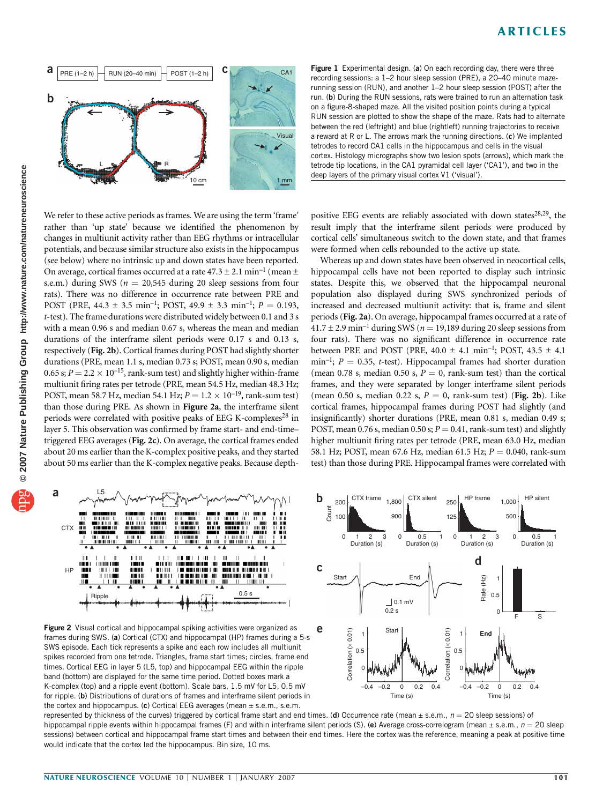

We refer to these active periods as frames. We are using the term 'frame' rather than 'up state' because we identified the phenomenon by changes in multiunit activity rather than EEG rhythms or intracellular potentials, and because similar structure also exists in the hippocampus (see below) where no intrinsic up and down states have been reported. On average, cortical frames occurred at a rate  $47.3 \pm 2.1$  min<sup>-1</sup> (mean  $\pm$ s.e.m.) during SWS ( $n = 20,545$  during 20 sleep sessions from four rats). There was no difference in occurrence rate between PRE and POST (PRE,  $44.3 \pm 3.5 \text{ min}^{-1}$ ; POST,  $49.9 \pm 3.3 \text{ min}^{-1}$ ;  $P = 0.193$ , t-test). The frame durations were distributed widely between 0.1 and 3 s with a mean 0.96 s and median 0.67 s, whereas the mean and median durations of the interframe silent periods were 0.17 s and 0.13 s, respectively (Fig. 2b). Cortical frames during POST had slightly shorter durations (PRE, mean 1.1 s, median 0.73 s; POST, mean 0.90 s, median 0.65 s;  $P = 2.2 \times 10^{-15}$ , rank-sum test) and slightly higher within-frame multiunit firing rates per tetrode (PRE, mean 54.5 Hz, median 48.3 Hz; POST, mean 58.7 Hz, median 54.1 Hz;  $P = 1.2 \times 10^{-19}$ , rank-sum test) than those during PRE. As shown in Figure 2a, the interframe silent periods were correlated with positive peaks of EEG K-complexes<sup>28</sup> in layer 5. This observation was confirmed by frame start- and end-time– triggered EEG averages (Fig. 2c). On average, the cortical frames ended about 20 ms earlier than the K-complex positive peaks, and they started about 50 ms earlier than the K-complex negative peaks. Because depth-

Figure 1 Experimental design. (a) On each recording day, there were three recording sessions: a 1–2 hour sleep session (PRE), a 20–40 minute mazerunning session (RUN), and another 1–2 hour sleep session (POST) after the run. (b) During the RUN sessions, rats were trained to run an alternation task on a figure-8-shaped maze. All the visited position points during a typical RUN session are plotted to show the shape of the maze. Rats had to alternate between the red (leftright) and blue (rightleft) running trajectories to receive a reward at R or L. The arrows mark the running directions.  $(c)$  We implanted tetrodes to record CA1 cells in the hippocampus and cells in the visual cortex. Histology micrographs show two lesion spots (arrows), which mark the tetrode tip locations, in the CA1 pyramidal cell layer ('CA1'), and two in the deep layers of the primary visual cortex V1 ('visual').

positive EEG events are reliably associated with down states<sup>28,29</sup>, the result imply that the interframe silent periods were produced by cortical cells' simultaneous switch to the down state, and that frames were formed when cells rebounded to the active up state.

Whereas up and down states have been observed in neocortical cells, hippocampal cells have not been reported to display such intrinsic states. Despite this, we observed that the hippocampal neuronal population also displayed during SWS synchronized periods of increased and decreased multiunit activity: that is, frame and silent periods (Fig. 2a). On average, hippocampal frames occurred at a rate of  $41.7 \pm 2.9$  min<sup>-1</sup> during SWS ( $n = 19,189$  during 20 sleep sessions from four rats). There was no significant difference in occurrence rate between PRE and POST (PRE,  $40.0 \pm 4.1 \text{ min}^{-1}$ ; POST,  $43.5 \pm 4.1$ min<sup>-1</sup>;  $P = 0.35$ , t-test). Hippocampal frames had shorter duration (mean 0.78 s, median 0.50 s,  $P = 0$ , rank-sum test) than the cortical frames, and they were separated by longer interframe silent periods (mean 0.50 s, median 0.22 s,  $P = 0$ , rank-sum test) (Fig. 2b). Like cortical frames, hippocampal frames during POST had slightly (and insignificantly) shorter durations (PRE, mean 0.81 s, median 0.49 s; POST, mean 0.76 s, median 0.50 s;  $P = 0.41$ , rank-sum test) and slightly higher multiunit firing rates per tetrode (PRE, mean 63.0 Hz, median 58.1 Hz; POST, mean 67.6 Hz, median 61.5 Hz;  $P = 0.040$ , rank-sum test) than those during PRE. Hippocampal frames were correlated with



Figure 2 Visual cortical and hippocampal spiking activities were organized as frames during SWS. (a) Cortical (CTX) and hippocampal (HP) frames during a 5-s SWS episode. Each tick represents a spike and each row includes all multiunit spikes recorded from one tetrode. Triangles, frame start times; circles, frame end times. Cortical EEG in layer 5 (L5, top) and hippocampal EEG within the ripple band (bottom) are displayed for the same time period. Dotted boxes mark a K-complex (top) and a ripple event (bottom). Scale bars, 1.5 mV for L5, 0.5 mV for ripple. (b) Distributions of durations of frames and interframe silent periods in the cortex and hippocampus. (c) Cortical EEG averages (mean  $\pm$  s.e.m., s.e.m.



represented by thickness of the curves) triggered by cortical frame start and end times. (d) Occurrence rate (mean  $\pm$  s.e.m.,  $n = 20$  sleep sessions) of hippocampal ripple events within hippocampal frames (F) and within interframe silent periods (S). (e) Average cross-correlogram (mean  $\pm$  s.e.m.,  $n = 20$  sleep sessions) between cortical and hippocampal frame start times and between their end times. Here the cortex was the reference, meaning a peak at positive time would indicate that the cortex led the hippocampus. Bin size, 10 ms.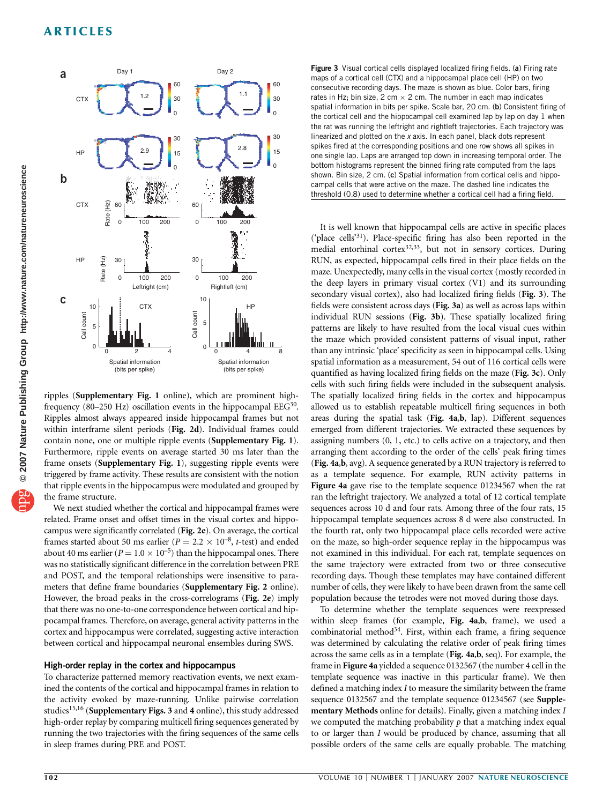

ripples (Supplementary Fig. 1 online), which are prominent highfrequency (80–250 Hz) oscillation events in the hippocampal  $EEG<sup>30</sup>$ . Ripples almost always appeared inside hippocampal frames but not within interframe silent periods (Fig. 2d). Individual frames could contain none, one or multiple ripple events (Supplementary Fig. 1). Furthermore, ripple events on average started 30 ms later than the frame onsets (Supplementary Fig. 1), suggesting ripple events were triggered by frame activity. These results are consistent with the notion that ripple events in the hippocampus were modulated and grouped by the frame structure.

We next studied whether the cortical and hippocampal frames were related. Frame onset and offset times in the visual cortex and hippocampus were significantly correlated (Fig. 2e). On average, the cortical frames started about 50 ms earlier ( $P = 2.2 \times 10^{-8}$ , t-test) and ended about 40 ms earlier ( $P = 1.0 \times 10^{-5}$ ) than the hippocampal ones. There was no statistically significant difference in the correlation between PRE and POST, and the temporal relationships were insensitive to parameters that define frame boundaries (Supplementary Fig. 2 online). However, the broad peaks in the cross-correlograms (Fig. 2e) imply that there was no one-to-one correspondence between cortical and hippocampal frames. Therefore, on average, general activity patterns in the cortex and hippocampus were correlated, suggesting active interaction between cortical and hippocampal neuronal ensembles during SWS.

#### High-order replay in the cortex and hippocampus

To characterize patterned memory reactivation events, we next examined the contents of the cortical and hippocampal frames in relation to the activity evoked by maze-running. Unlike pairwise correlation studies<sup>15,16</sup> (Supplementary Figs. 3 and 4 online), this study addressed high-order replay by comparing multicell firing sequences generated by running the two trajectories with the firing sequences of the same cells in sleep frames during PRE and POST.

Figure 3 Visual cortical cells displayed localized firing fields. (a) Firing rate maps of a cortical cell (CTX) and a hippocampal place cell (HP) on two consecutive recording days. The maze is shown as blue. Color bars, firing rates in Hz; bin size, 2 cm  $\times$  2 cm. The number in each map indicates spatial information in bits per spike. Scale bar, 20 cm. (b) Consistent firing of the cortical cell and the hippocampal cell examined lap by lap on day 1 when the rat was running the leftright and rightleft trajectories. Each trajectory was linearized and plotted on the x axis. In each panel, black dots represent spikes fired at the corresponding positions and one row shows all spikes in one single lap. Laps are arranged top down in increasing temporal order. The bottom histograms represent the binned firing rate computed from the laps shown. Bin size, 2 cm. (c) Spatial information from cortical cells and hippocampal cells that were active on the maze. The dashed line indicates the threshold (0.8) used to determine whether a cortical cell had a firing field.

It is well known that hippocampal cells are active in specific places ('place cells<sup>'31</sup>). Place-specific firing has also been reported in the medial entorhinal cortex<sup>32,33</sup>, but not in sensory cortices. During RUN, as expected, hippocampal cells fired in their place fields on the maze. Unexpectedly, many cells in the visual cortex (mostly recorded in the deep layers in primary visual cortex (V1) and its surrounding secondary visual cortex), also had localized firing fields (Fig. 3). The fields were consistent across days (Fig. 3a) as well as across laps within individual RUN sessions (Fig. 3b). These spatially localized firing patterns are likely to have resulted from the local visual cues within the maze which provided consistent patterns of visual input, rather than any intrinsic 'place' specificity as seen in hippocampal cells. Using spatial information as a measurement, 54 out of 116 cortical cells were quantified as having localized firing fields on the maze (Fig. 3c). Only cells with such firing fields were included in the subsequent analysis. The spatially localized firing fields in the cortex and hippocampus allowed us to establish repeatable multicell firing sequences in both areas during the spatial task (Fig. 4a,b, lap). Different sequences emerged from different trajectories. We extracted these sequences by assigning numbers (0, 1, etc.) to cells active on a trajectory, and then arranging them according to the order of the cells' peak firing times (Fig. 4a,b, avg). A sequence generated by a RUN trajectory is referred to as a template sequence. For example, RUN activity patterns in Figure 4a gave rise to the template sequence 01234567 when the rat ran the leftright trajectory. We analyzed a total of 12 cortical template sequences across 10 d and four rats. Among three of the four rats, 15 hippocampal template sequences across 8 d were also constructed. In the fourth rat, only two hippocampal place cells recorded were active on the maze, so high-order sequence replay in the hippocampus was not examined in this individual. For each rat, template sequences on the same trajectory were extracted from two or three consecutive recording days. Though these templates may have contained different number of cells, they were likely to have been drawn from the same cell population because the tetrodes were not moved during those days.

To determine whether the template sequences were reexpressed within sleep frames (for example, Fig. 4a,b, frame), we used a combinatorial method $34$ . First, within each frame, a firing sequence was determined by calculating the relative order of peak firing times across the same cells as in a template (Fig. 4a,b, seq). For example, the frame in Figure 4a yielded a sequence 0132567 (the number 4 cell in the template sequence was inactive in this particular frame). We then defined a matching index I to measure the similarity between the frame sequence 0132567 and the template sequence 01234567 (see Supplementary Methods online for details). Finally, given a matching index I we computed the matching probability  $p$  that a matching index equal to or larger than I would be produced by chance, assuming that all possible orders of the same cells are equally probable. The matching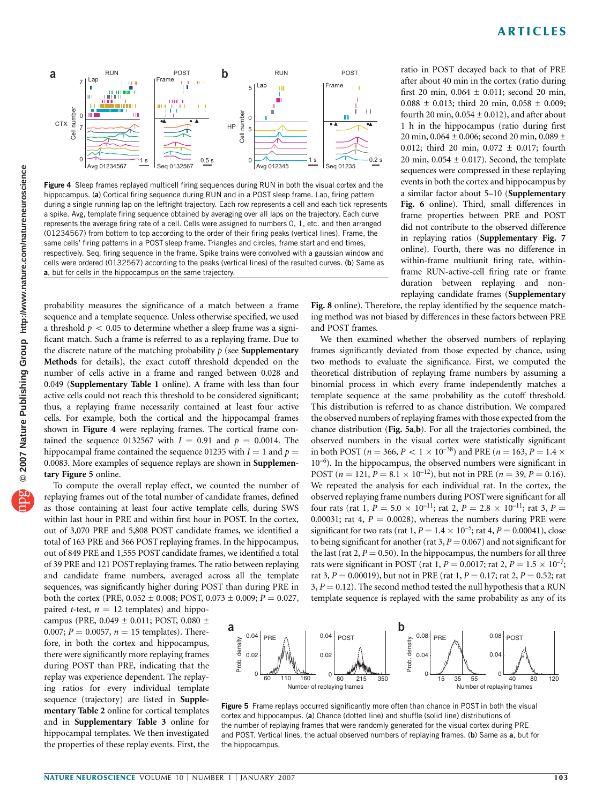

Figure 4 Sleep frames replayed multicell firing sequences during RUN in both the visual cortex and the hippocampus. (a) Cortical firing sequence during RUN and in a POST sleep frame. Lap, firing pattern during a single running lap on the leftright trajectory. Each row represents a cell and each tick represents a spike. Avg, template firing sequence obtained by averaging over all laps on the trajectory. Each curve represents the average firing rate of a cell. Cells were assigned to numbers 0, 1, etc. and then arranged (01234567) from bottom to top according to the order of their firing peaks (vertical lines). Frame, the same cells' firing patterns in a POST sleep frame. Triangles and circles, frame start and end times, respectively. Seq, firing sequence in the frame. Spike trains were convolved with a gaussian window and cells were ordered (0132567) according to the peaks (vertical lines) of the resulted curves. (b) Same as a, but for cells in the hippocampus on the same trajectory.

probability measures the significance of a match between a frame sequence and a template sequence. Unless otherwise specified, we used a threshold  $p < 0.05$  to determine whether a sleep frame was a significant match. Such a frame is referred to as a replaying frame. Due to the discrete nature of the matching probability  $p$  (see **Supplementary** Methods for details), the exact cutoff threshold depended on the number of cells active in a frame and ranged between 0.028 and 0.049 (Supplementary Table 1 online). A frame with less than four active cells could not reach this threshold to be considered significant; thus, a replaying frame necessarily contained at least four active cells. For example, both the cortical and the hippocampal frames shown in Figure 4 were replaying frames. The cortical frame contained the sequence 0132567 with  $I = 0.91$  and  $p = 0.0014$ . The hippocampal frame contained the sequence 01235 with  $I = 1$  and  $p =$ 0.0083. More examples of sequence replays are shown in Supplementary Figure 5 online.

To compute the overall replay effect, we counted the number of replaying frames out of the total number of candidate frames, defined as those containing at least four active template cells, during SWS within last hour in PRE and within first hour in POST. In the cortex, out of 3,070 PRE and 5,808 POST candidate frames, we identified a total of 163 PRE and 366 POST replaying frames. In the hippocampus, out of 849 PRE and 1,555 POST candidate frames, we identified a total of 39 PRE and 121 POST replaying frames. The ratio between replaying and candidate frame numbers, averaged across all the template sequences, was significantly higher during POST than during PRE in both the cortex (PRE,  $0.052 \pm 0.008$ ; POST,  $0.073 \pm 0.009$ ;  $P = 0.027$ ,

paired *t*-test,  $n = 12$  templates) and hippocampus (PRE, 0.049 ± 0.011; POST, 0.080 ± 0.007;  $P = 0.0057$ ,  $n = 15$  templates). Therefore, in both the cortex and hippocampus, there were significantly more replaying frames during POST than PRE, indicating that the replay was experience dependent. The replaying ratios for every individual template sequence (trajectory) are listed in Supplementary Table 2 online for cortical templates and in Supplementary Table 3 online for hippocampal templates. We then investigated the properties of these replay events. First, the ratio in POST decayed back to that of PRE after about 40 min in the cortex (ratio during first 20 min,  $0.064 \pm 0.011$ ; second 20 min,  $0.088 \pm 0.013$ ; third 20 min,  $0.058 \pm 0.009$ ; fourth 20 min,  $0.054 \pm 0.012$ ), and after about 1 h in the hippocampus (ratio during first 20 min,  $0.064 \pm 0.006$ ; second 20 min,  $0.089 \pm 0.006$ 0.012; third 20 min, 0.072 ± 0.017; fourth 20 min,  $0.054 \pm 0.017$ ). Second, the template sequences were compressed in these replaying events in both the cortex and hippocampus by a similar factor about 5–10 (Supplementary Fig. 6 online). Third, small differences in frame properties between PRE and POST did not contribute to the observed difference in replaying ratios (Supplementary Fig. 7 online). Fourth, there was no difference in within-frame multiunit firing rate, withinframe RUN-active-cell firing rate or frame duration between replaying and nonreplaying candidate frames (Supplementary

Fig. 8 online). Therefore, the replay identified by the sequence matching method was not biased by differences in these factors between PRE and POST frames.

We then examined whether the observed numbers of replaying frames significantly deviated from those expected by chance, using two methods to evaluate the significance. First, we computed the theoretical distribution of replaying frame numbers by assuming a binomial process in which every frame independently matches a template sequence at the same probability as the cutoff threshold. This distribution is referred to as chance distribution. We compared the observed numbers of replaying frames with those expected from the chance distribution (Fig. 5a,b). For all the trajectories combined, the observed numbers in the visual cortex were statistically significant in both POST ( $n = 366, P < 1 \times 10^{-38}$ ) and PRE ( $n = 163, P = 1.4 \times 10^{-38}$ ) 10–6). In the hippocampus, the observed numbers were significant in POST ( $n = 121$ ,  $P = 8.1 \times 10^{-12}$ ), but not in PRE ( $n = 39$ ,  $P = 0.16$ ). We repeated the analysis for each individual rat. In the cortex, the observed replaying frame numbers during POSTwere significant for all four rats (rat 1,  $P = 5.0 \times 10^{-11}$ ; rat 2,  $P = 2.8 \times 10^{-11}$ ; rat 3,  $P =$ 0.00031; rat 4,  $P = 0.0028$ ), whereas the numbers during PRE were significant for two rats (rat  $1, P = 1.4 \times 10^{-5}$ ; rat  $4, P = 0.00041$ ), close to being significant for another (rat 3,  $P = 0.067$ ) and not significant for the last (rat 2,  $P = 0.50$ ). In the hippocampus, the numbers for all three rats were significant in POST (rat 1,  $P = 0.0017$ ; rat 2,  $P = 1.5 \times 10^{-7}$ ; rat 3,  $P = 0.00019$ ), but not in PRE (rat 1,  $P = 0.17$ ; rat 2,  $P = 0.52$ ; rat  $3, P = 0.12$ ). The second method tested the null hypothesis that a RUN template sequence is replayed with the same probability as any of its



Figure 5 Frame replays occurred significantly more often than chance in POST in both the visual cortex and hippocampus. (a) Chance (dotted line) and shuffle (solid line) distributions of the number of replaying frames that were randomly generated for the visual cortex during PRE and POST. Vertical lines, the actual observed numbers of replaying frames. (b) Same as a, but for the hippocampus.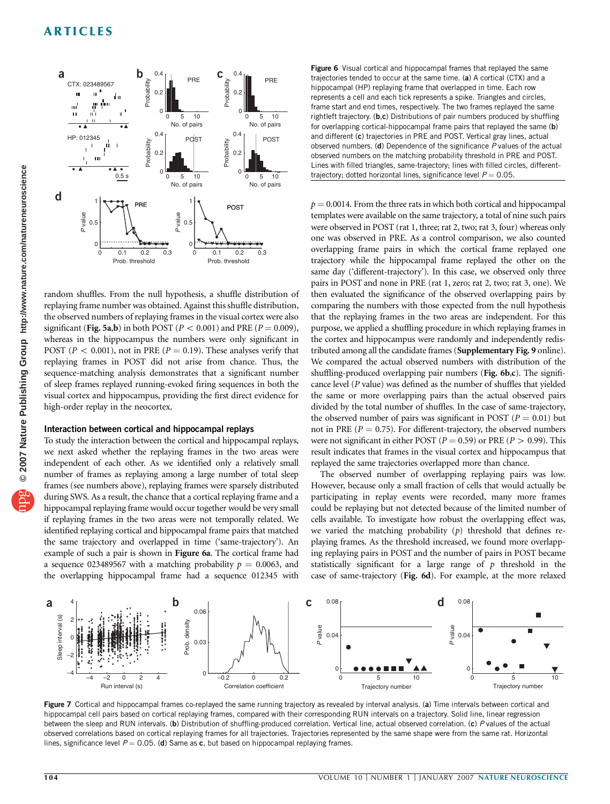

random shuffles. From the null hypothesis, a shuffle distribution of replaying frame number was obtained. Against this shuffle distribution, the observed numbers of replaying frames in the visual cortex were also significant (Fig. 5a,b) in both POST ( $P < 0.001$ ) and PRE ( $P = 0.009$ ), whereas in the hippocampus the numbers were only significant in POST ( $P < 0.001$ ), not in PRE ( $P = 0.19$ ). These analyses verify that replaying frames in POST did not arise from chance. Thus, the sequence-matching analysis demonstrates that a significant number of sleep frames replayed running-evoked firing sequences in both the visual cortex and hippocampus, providing the first direct evidence for high-order replay in the neocortex.

#### Interaction between cortical and hippocampal replays

To study the interaction between the cortical and hippocampal replays, we next asked whether the replaying frames in the two areas were independent of each other. As we identified only a relatively small number of frames as replaying among a large number of total sleep frames (see numbers above), replaying frames were sparsely distributed during SWS. As a result, the chance that a cortical replaying frame and a hippocampal replaying frame would occur together would be very small if replaying frames in the two areas were not temporally related. We identified replaying cortical and hippocampal frame pairs that matched the same trajectory and overlapped in time ('same-trajectory'). An example of such a pair is shown in Figure 6a. The cortical frame had a sequence 023489567 with a matching probability  $p = 0.0063$ , and the overlapping hippocampal frame had a sequence 012345 with

Figure 6 Visual cortical and hippocampal frames that replayed the same trajectories tended to occur at the same time. (a) A cortical (CTX) and a hippocampal (HP) replaying frame that overlapped in time. Each row represents a cell and each tick represents a spike. Triangles and circles, frame start and end times, respectively. The two frames replayed the same rightleft trajectory. (b,c) Distributions of pair numbers produced by shuffling for overlapping cortical-hippocampal frame pairs that replayed the same (b) and different (c) trajectories in PRE and POST. Vertical gray lines, actual observed numbers. (d) Dependence of the significance  $P$  values of the actual observed numbers on the matching probability threshold in PRE and POST. Lines with filled triangles, same-trajectory; lines with filled circles, differenttrajectory; dotted horizontal lines, significance level  $P = 0.05$ .

 $p = 0.0014$ . From the three rats in which both cortical and hippocampal templates were available on the same trajectory, a total of nine such pairs were observed in POST (rat 1, three; rat 2, two; rat 3, four) whereas only one was observed in PRE. As a control comparison, we also counted overlapping frame pairs in which the cortical frame replayed one trajectory while the hippocampal frame replayed the other on the same day ('different-trajectory'). In this case, we observed only three pairs in POST and none in PRE (rat 1, zero; rat 2, two; rat 3, one). We then evaluated the significance of the observed overlapping pairs by comparing the numbers with those expected from the null hypothesis that the replaying frames in the two areas are independent. For this purpose, we applied a shuffling procedure in which replaying frames in the cortex and hippocampus were randomly and independently redistributed among all the candidate frames (Supplementary Fig. 9 online). We compared the actual observed numbers with distribution of the shuffling-produced overlapping pair numbers (Fig. 6b,c). The significance level (P value) was defined as the number of shuffles that yielded the same or more overlapping pairs than the actual observed pairs divided by the total number of shuffles. In the case of same-trajectory, the observed number of pairs was significant in POST ( $P = 0.01$ ) but not in PRE ( $P = 0.75$ ). For different-trajectory, the observed numbers were not significant in either POST ( $P = 0.59$ ) or PRE ( $P > 0.99$ ). This result indicates that frames in the visual cortex and hippocampus that replayed the same trajectories overlapped more than chance.

The observed number of overlapping replaying pairs was low. However, because only a small fraction of cells that would actually be participating in replay events were recorded, many more frames could be replaying but not detected because of the limited number of cells available. To investigate how robust the overlapping effect was, we varied the matching probability  $(p)$  threshold that defines replaying frames. As the threshold increased, we found more overlapping replaying pairs in POST and the number of pairs in POST became statistically significant for a large range of  $p$  threshold in the case of same-trajectory (Fig. 6d). For example, at the more relaxed



Figure 7 Cortical and hippocampal frames co-replayed the same running trajectory as revealed by interval analysis. (a) Time intervals between cortical and hippocampal cell pairs based on cortical replaying frames, compared with their corresponding RUN intervals on a trajectory. Solid line, linear regression between the sleep and RUN intervals. (b) Distribution of shuffling-produced correlation. Vertical line, actual observed correlation. (c) P values of the actual observed correlations based on cortical replaying frames for all trajectories. Trajectories represented by the same shape were from the same rat. Horizontal lines, significance level  $P = 0.05$ . (d) Same as c, but based on hippocampal replaying frames.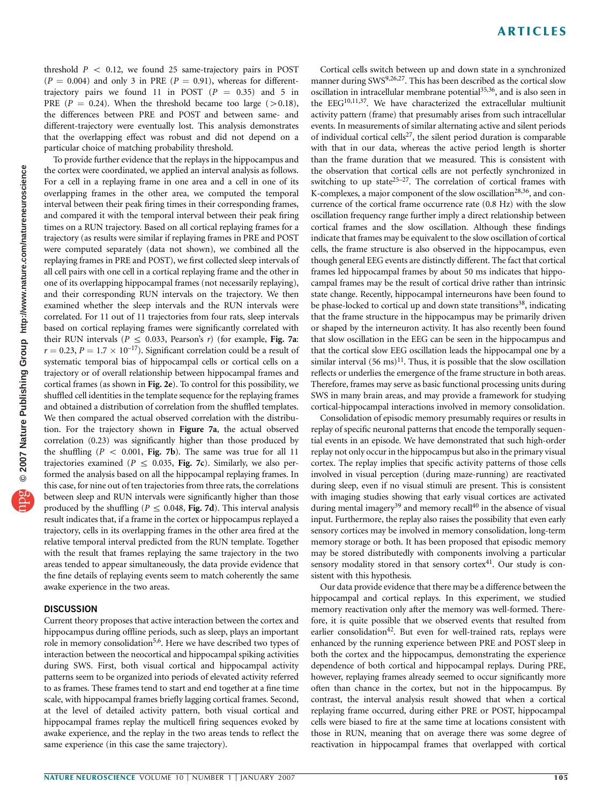threshold  $P < 0.12$ , we found 25 same-trajectory pairs in POST  $(P = 0.004)$  and only 3 in PRE  $(P = 0.91)$ , whereas for differenttrajectory pairs we found 11 in POST  $(P = 0.35)$  and 5 in PRE ( $P = 0.24$ ). When the threshold became too large ( $> 0.18$ ), the differences between PRE and POST and between same- and different-trajectory were eventually lost. This analysis demonstrates that the overlapping effect was robust and did not depend on a particular choice of matching probability threshold.

To provide further evidence that the replays in the hippocampus and the cortex were coordinated, we applied an interval analysis as follows. For a cell in a replaying frame in one area and a cell in one of its overlapping frames in the other area, we computed the temporal interval between their peak firing times in their corresponding frames, and compared it with the temporal interval between their peak firing times on a RUN trajectory. Based on all cortical replaying frames for a trajectory (as results were similar if replaying frames in PRE and POST were computed separately (data not shown), we combined all the replaying frames in PRE and POST), we first collected sleep intervals of all cell pairs with one cell in a cortical replaying frame and the other in one of its overlapping hippocampal frames (not necessarily replaying), and their corresponding RUN intervals on the trajectory. We then examined whether the sleep intervals and the RUN intervals were correlated. For 11 out of 11 trajectories from four rats, sleep intervals based on cortical replaying frames were significantly correlated with their RUN intervals ( $P \le 0.033$ , Pearson's r) (for example, Fig. 7a:  $r = 0.23$ ,  $P = 1.7 \times 10^{-17}$ ). Significant correlation could be a result of systematic temporal bias of hippocampal cells or cortical cells on a trajectory or of overall relationship between hippocampal frames and cortical frames (as shown in Fig. 2e). To control for this possibility, we shuffled cell identities in the template sequence for the replaying frames and obtained a distribution of correlation from the shuffled templates. We then compared the actual observed correlation with the distribution. For the trajectory shown in Figure 7a, the actual observed correlation (0.23) was significantly higher than those produced by the shuffling  $(P < 0.001,$  Fig. 7b). The same was true for all 11 trajectories examined ( $P \le 0.035$ , Fig. 7c). Similarly, we also performed the analysis based on all the hippocampal replaying frames. In this case, for nine out of ten trajectories from three rats, the correlations between sleep and RUN intervals were significantly higher than those produced by the shuffling ( $P \le 0.048$ , Fig. 7d). This interval analysis result indicates that, if a frame in the cortex or hippocampus replayed a trajectory, cells in its overlapping frames in the other area fired at the relative temporal interval predicted from the RUN template. Together with the result that frames replaying the same trajectory in the two areas tended to appear simultaneously, the data provide evidence that the fine details of replaying events seem to match coherently the same awake experience in the two areas.

### **DISCUSSION**

Current theory proposes that active interaction between the cortex and hippocampus during offline periods, such as sleep, plays an important role in memory consolidation<sup>5,6</sup>. Here we have described two types of interaction between the neocortical and hippocampal spiking activities during SWS. First, both visual cortical and hippocampal activity patterns seem to be organized into periods of elevated activity referred to as frames. These frames tend to start and end together at a fine time scale, with hippocampal frames briefly lagging cortical frames. Second, at the level of detailed activity pattern, both visual cortical and hippocampal frames replay the multicell firing sequences evoked by awake experience, and the replay in the two areas tends to reflect the same experience (in this case the same trajectory).

Cortical cells switch between up and down state in a synchronized manner during SWS9,26,27. This has been described as the cortical slow oscillation in intracellular membrane potential<sup>35,36</sup>, and is also seen in the  $EEG^{10,11,37}$ . We have characterized the extracellular multiunit activity pattern (frame) that presumably arises from such intracellular events. In measurements of similar alternating active and silent periods of individual cortical cells<sup>27</sup>, the silent period duration is comparable with that in our data, whereas the active period length is shorter than the frame duration that we measured. This is consistent with the observation that cortical cells are not perfectly synchronized in switching to up state<sup>25-27</sup>. The correlation of cortical frames with K-complexes, a major component of the slow oscillation<sup>28,36</sup>, and concurrence of the cortical frame occurrence rate (0.8 Hz) with the slow oscillation frequency range further imply a direct relationship between cortical frames and the slow oscillation. Although these findings indicate that frames may be equivalent to the slow oscillation of cortical cells, the frame structure is also observed in the hippocampus, even though general EEG events are distinctly different. The fact that cortical frames led hippocampal frames by about 50 ms indicates that hippocampal frames may be the result of cortical drive rather than intrinsic state change. Recently, hippocampal interneurons have been found to be phase-locked to cortical up and down state transitions<sup>38</sup>, indicating that the frame structure in the hippocampus may be primarily driven or shaped by the interneuron activity. It has also recently been found that slow oscillation in the EEG can be seen in the hippocampus and that the cortical slow EEG oscillation leads the hippocampal one by a similar interval  $(56 \text{ ms})^{11}$ . Thus, it is possible that the slow oscillation reflects or underlies the emergence of the frame structure in both areas. Therefore, frames may serve as basic functional processing units during SWS in many brain areas, and may provide a framework for studying cortical-hippocampal interactions involved in memory consolidation.

Consolidation of episodic memory presumably requires or results in replay of specific neuronal patterns that encode the temporally sequential events in an episode. We have demonstrated that such high-order replay not only occur in the hippocampus but also in the primary visual cortex. The replay implies that specific activity patterns of those cells involved in visual perception (during maze-running) are reactivated during sleep, even if no visual stimuli are present. This is consistent with imaging studies showing that early visual cortices are activated during mental imagery<sup>39</sup> and memory recall<sup>40</sup> in the absence of visual input. Furthermore, the replay also raises the possibility that even early sensory cortices may be involved in memory consolidation, long-term memory storage or both. It has been proposed that episodic memory may be stored distributedly with components involving a particular sensory modality stored in that sensory cortex $41$ . Our study is consistent with this hypothesis.

Our data provide evidence that there may be a difference between the hippocampal and cortical replays. In this experiment, we studied memory reactivation only after the memory was well-formed. Therefore, it is quite possible that we observed events that resulted from earlier consolidation<sup>42</sup>. But even for well-trained rats, replays were enhanced by the running experience between PRE and POST sleep in both the cortex and the hippocampus, demonstrating the experience dependence of both cortical and hippocampal replays. During PRE, however, replaying frames already seemed to occur significantly more often than chance in the cortex, but not in the hippocampus. By contrast, the interval analysis result showed that when a cortical replaying frame occurred, during either PRE or POST, hippocampal cells were biased to fire at the same time at locations consistent with those in RUN, meaning that on average there was some degree of reactivation in hippocampal frames that overlapped with cortical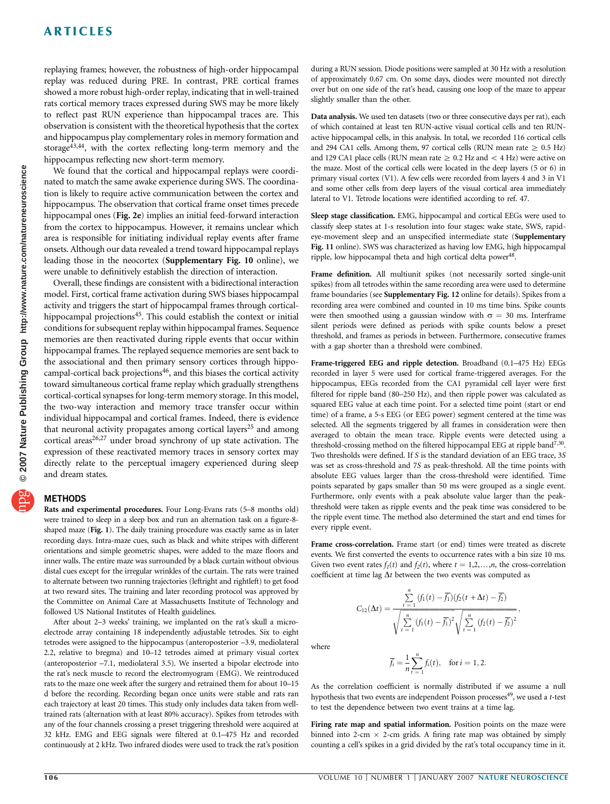replaying frames; however, the robustness of high-order hippocampal replay was reduced during PRE. In contrast, PRE cortical frames showed a more robust high-order replay, indicating that in well-trained rats cortical memory traces expressed during SWS may be more likely to reflect past RUN experience than hippocampal traces are. This observation is consistent with the theoretical hypothesis that the cortex and hippocampus play complementary roles in memory formation and storage<sup>43,44</sup>, with the cortex reflecting long-term memory and the hippocampus reflecting new short-term memory.

We found that the cortical and hippocampal replays were coordinated to match the same awake experience during SWS. The coordination is likely to require active communication between the cortex and hippocampus. The observation that cortical frame onset times precede hippocampal ones (Fig. 2e) implies an initial feed-forward interaction from the cortex to hippocampus. However, it remains unclear which area is responsible for initiating individual replay events after frame onsets. Although our data revealed a trend toward hippocampal replays leading those in the neocortex (Supplementary Fig. 10 online), we were unable to definitively establish the direction of interaction.

Overall, these findings are consistent with a bidirectional interaction model. First, cortical frame activation during SWS biases hippocampal activity and triggers the start of hippocampal frames through corticalhippocampal projections<sup>45</sup>. This could establish the context or initial conditions for subsequent replay within hippocampal frames. Sequence memories are then reactivated during ripple events that occur within hippocampal frames. The replayed sequence memories are sent back to the associational and then primary sensory cortices through hippocampal-cortical back projections<sup>46</sup>, and this biases the cortical activity toward simultaneous cortical frame replay which gradually strengthens cortical-cortical synapses for long-term memory storage. In this model, the two-way interaction and memory trace transfer occur within individual hippocampal and cortical frames. Indeed, there is evidence that neuronal activity propagates among cortical layers<sup>25</sup> and among cortical areas<sup>26,27</sup> under broad synchrony of up state activation. The expression of these reactivated memory traces in sensory cortex may directly relate to the perceptual imagery experienced during sleep and dream states.

#### **METHODS**

Rats and experimental procedures. Four Long-Evans rats (5–8 months old) were trained to sleep in a sleep box and run an alternation task on a figure-8 shaped maze (Fig. 1). The daily training procedure was exactly same as in later recording days. Intra-maze cues, such as black and white stripes with different orientations and simple geometric shapes, were added to the maze floors and inner walls. The entire maze was surrounded by a black curtain without obvious distal cues except for the irregular wrinkles of the curtain. The rats were trained to alternate between two running trajectories (leftright and rightleft) to get food at two reward sites. The training and later recording protocol was approved by the Committee on Animal Care at Massachusetts Institute of Technology and followed US National Institutes of Health guidelines.

After about 2–3 weeks' training, we implanted on the rat's skull a microelectrode array containing 18 independently adjustable tetrodes. Six to eight tetrodes were assigned to the hippocampus (anteroposterior –3.9, mediolateral 2.2, relative to bregma) and 10–12 tetrodes aimed at primary visual cortex (anteroposterior –7.1, mediolateral 3.5). We inserted a bipolar electrode into the rat's neck muscle to record the electromyogram (EMG). We reintroduced rats to the maze one week after the surgery and retrained them for about 10–15 d before the recording. Recording began once units were stable and rats ran each trajectory at least 20 times. This study only includes data taken from welltrained rats (alternation with at least 80% accuracy). Spikes from tetrodes with any of the four channels crossing a preset triggering threshold were acquired at 32 kHz. EMG and EEG signals were filtered at 0.1–475 Hz and recorded continuously at 2 kHz. Two infrared diodes were used to track the rat's position

during a RUN session. Diode positions were sampled at 30 Hz with a resolution of approximately 0.67 cm. On some days, diodes were mounted not directly over but on one side of the rat's head, causing one loop of the maze to appear slightly smaller than the other.

Data analysis. We used ten datasets (two or three consecutive days per rat), each of which contained at least ten RUN-active visual cortical cells and ten RUNactive hippocampal cells, in this analysis. In total, we recorded 116 cortical cells and 294 CA1 cells. Among them, 97 cortical cells (RUN mean rate  $\geq 0.5$  Hz) and 129 CA1 place cells (RUN mean rate  $\geq 0.2$  Hz and  $\lt$  4 Hz) were active on the maze. Most of the cortical cells were located in the deep layers (5 or 6) in primary visual cortex (V1). A few cells were recorded from layers 4 and 3 in V1 and some other cells from deep layers of the visual cortical area immediately lateral to V1. Tetrode locations were identified according to ref. 47.

Sleep stage classification. EMG, hippocampal and cortical EEGs were used to classify sleep states at 1-s resolution into four stages: wake state, SWS, rapideye-movement sleep and an unspecified intermediate state (Supplementary Fig. 11 online). SWS was characterized as having low EMG, high hippocampal ripple, low hippocampal theta and high cortical delta power<sup>48</sup>.

Frame definition. All multiunit spikes (not necessarily sorted single-unit spikes) from all tetrodes within the same recording area were used to determine frame boundaries (see Supplementary Fig. 12 online for details). Spikes from a recording area were combined and counted in 10 ms time bins. Spike counts were then smoothed using a gaussian window with  $\sigma = 30$  ms. Interframe silent periods were defined as periods with spike counts below a preset threshold, and frames as periods in between. Furthermore, consecutive frames with a gap shorter than a threshold were combined.

Frame-triggered EEG and ripple detection. Broadband (0.1–475 Hz) EEGs recorded in layer 5 were used for cortical frame-triggered averages. For the hippocampus, EEGs recorded from the CA1 pyramidal cell layer were first filtered for ripple band (80–250 Hz), and then ripple power was calculated as squared EEG value at each time point. For a selected time point (start or end time) of a frame, a 5-s EEG (or EEG power) segment centered at the time was selected. All the segments triggered by all frames in consideration were then averaged to obtain the mean trace. Ripple events were detected using a threshold-crossing method on the filtered hippocampal EEG at ripple band<sup>7,30</sup>. Two thresholds were defined. If S is the standard deviation of an EEG trace, 3S was set as cross-threshold and 7S as peak-threshold. All the time points with absolute EEG values larger than the cross-threshold were identified. Time points separated by gaps smaller than 50 ms were grouped as a single event. Furthermore, only events with a peak absolute value larger than the peakthreshold were taken as ripple events and the peak time was considered to be the ripple event time. The method also determined the start and end times for every ripple event.

Frame cross-correlation. Frame start (or end) times were treated as discrete events. We first converted the events to occurrence rates with a bin size 10 ms. Given two event rates  $f_1(t)$  and  $f_2(t)$ , where  $t = 1,2,...,n$ , the cross-correlation coefficient at time lag  $\Delta t$  between the two events was computed as

$$
C_{12}(\Delta t) = \frac{\sum_{t=1}^{n} (f_1(t) - \overline{f_1})(f_2(t + \Delta t) - \overline{f_2})}{\sqrt{\sum_{t=1}^{n} (f_1(t) - \overline{f_1})^2} \sqrt{\sum_{t=1}^{n} (f_2(t) - \overline{f_2})^2}},
$$

where

$$
\overline{f_i} = \frac{1}{n} \sum_{t=1}^{n} f_i(t), \text{ for } i = 1, 2.
$$

As the correlation coefficient is normally distributed if we assume a null hypothesis that two events are independent Poisson processes $49$ , we used a t-test to test the dependence between two event trains at a time lag.

Firing rate map and spatial information. Position points on the maze were binned into 2-cm  $\times$  2-cm grids. A firing rate map was obtained by simply counting a cell's spikes in a grid divided by the rat's total occupancy time in it.